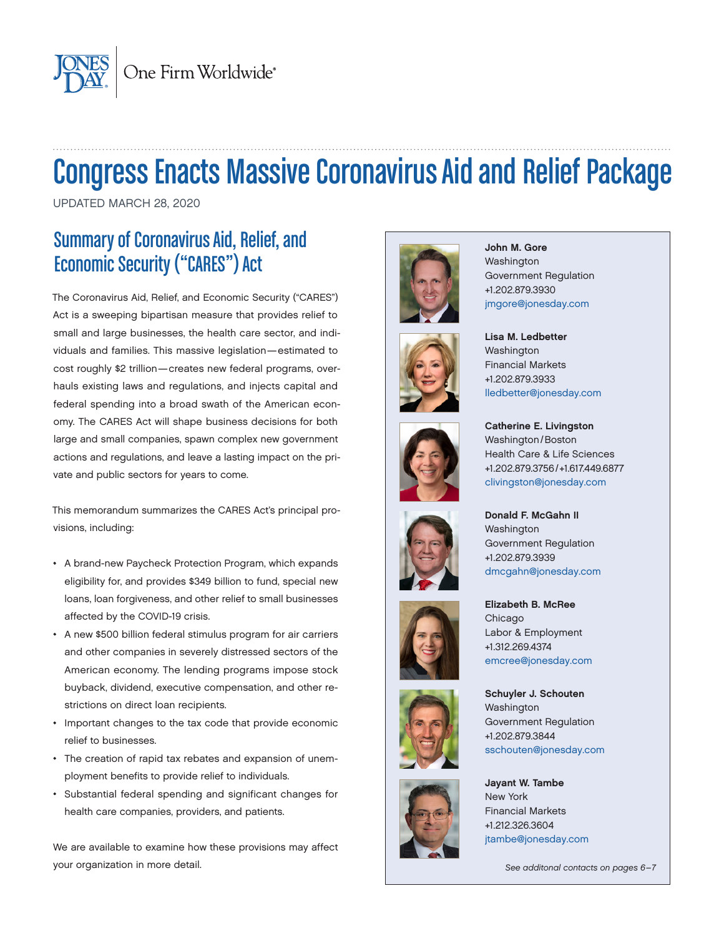

# Congress Enacts Massive Coronavirus Aid and Relief Package

UPDATED MARCH 28, 2020

# Summary of Coronavirus Aid, Relief, and Economic Security ("CARES") Act

The Coronavirus Aid, Relief, and Economic Security ("CARES") Act is a sweeping bipartisan measure that provides relief to small and large businesses, the health care sector, and individuals and families. This massive legislation—estimated to cost roughly \$2 trillion—creates new federal programs, overhauls existing laws and regulations, and injects capital and federal spending into a broad swath of the American economy. The CARES Act will shape business decisions for both large and small companies, spawn complex new government actions and regulations, and leave a lasting impact on the private and public sectors for years to come.

This memorandum summarizes the CARES Act's principal provisions, including:

- A brand-new Paycheck Protection Program, which expands eligibility for, and provides \$349 billion to fund, special new loans, loan forgiveness, and other relief to small businesses affected by the COVID-19 crisis.
- A new \$500 billion federal stimulus program for air carriers and other companies in severely distressed sectors of the American economy. The lending programs impose stock buyback, dividend, executive compensation, and other restrictions on direct loan recipients.
- Important changes to the tax code that provide economic relief to businesses.
- The creation of rapid tax rebates and expansion of unemployment benefits to provide relief to individuals.
- Substantial federal spending and significant changes for health care companies, providers, and patients.

We are available to examine how these provisions may affect your organization in more detail.







John M. Gore Washington Government Regulation +1.202.879.3930 [jmgore@jonesday.com](mailto:jmgore%40jonesday.com%20?subject=)



[lledbetter@jonesday.com](mailto:lledbetter@jonesday.com)

Catherine E. Livingston Washington/Boston Health Care & Life Sciences +1.202.879.3756/+1.617.449.6877 [clivingston@jonesday.com](mailto:clivingston%40jonesday.com%20%20?subject=) 









Elizabeth B. McRee Chicago Labor & Employment +1.312.269.4374 [emcree@jonesday.com](mailto:emcree%40jonesday.com%20%20?subject=) 

Schuyler J. Schouten Washington Government Regulation +1.202.879.3844 [sschouten@jonesday.com](mailto:sschouten%40jonesday.com%20%20?subject=)

Jayant W. Tambe New York Financial Markets +1.212.326.3604 [jtambe@jonesday.com](mailto:jtambe@jonesday.com)

*See additonal contacts on pages 6–7*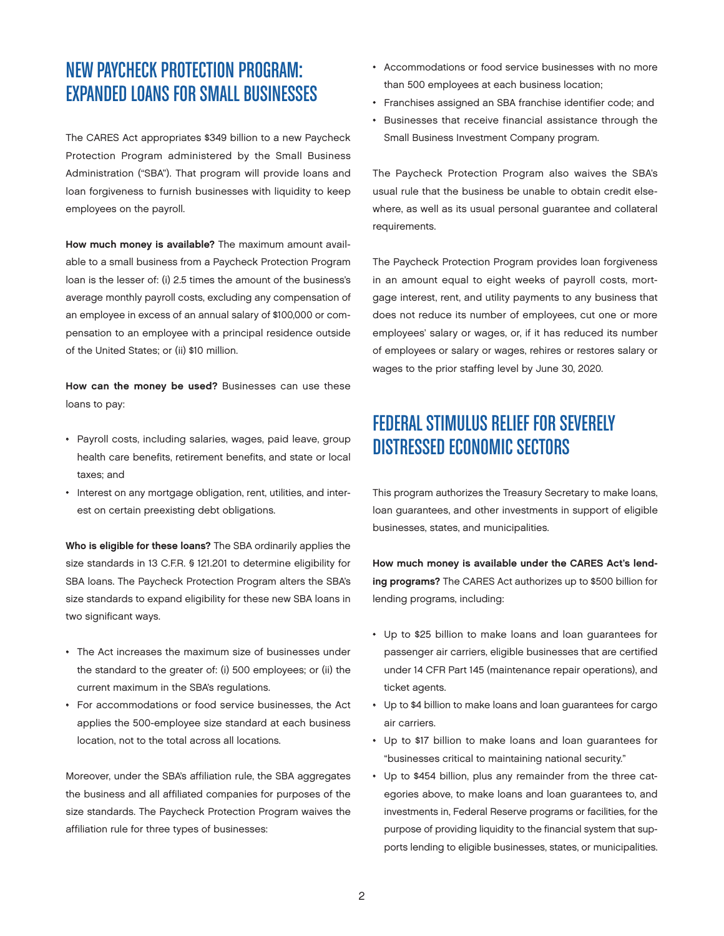### NEW PAYCHECK PROTECTION PROGRAM: EXPANDED LOANS FOR SMALL BUSINESSES

The CARES Act appropriates \$349 billion to a new Paycheck Protection Program administered by the Small Business Administration ("SBA"). That program will provide loans and loan forgiveness to furnish businesses with liquidity to keep employees on the payroll.

How much money is available? The maximum amount available to a small business from a Paycheck Protection Program loan is the lesser of: (i) 2.5 times the amount of the business's average monthly payroll costs, excluding any compensation of an employee in excess of an annual salary of \$100,000 or compensation to an employee with a principal residence outside of the United States; or (ii) \$10 million.

How can the money be used? Businesses can use these loans to pay:

- Payroll costs, including salaries, wages, paid leave, group health care benefits, retirement benefits, and state or local taxes; and
- Interest on any mortgage obligation, rent, utilities, and interest on certain preexisting debt obligations.

Who is eligible for these loans? The SBA ordinarily applies the size standards in 13 C.F.R. § 121.201 to determine eligibility for SBA loans. The Paycheck Protection Program alters the SBA's size standards to expand eligibility for these new SBA loans in two significant ways.

- The Act increases the maximum size of businesses under the standard to the greater of: (i) 500 employees; or (ii) the current maximum in the SBA's regulations.
- For accommodations or food service businesses, the Act applies the 500-employee size standard at each business location, not to the total across all locations.

Moreover, under the SBA's affiliation rule, the SBA aggregates the business and all affiliated companies for purposes of the size standards. The Paycheck Protection Program waives the affiliation rule for three types of businesses:

- Accommodations or food service businesses with no more than 500 employees at each business location;
- Franchises assigned an SBA franchise identifier code; and
- Businesses that receive financial assistance through the Small Business Investment Company program.

The Paycheck Protection Program also waives the SBA's usual rule that the business be unable to obtain credit elsewhere, as well as its usual personal guarantee and collateral requirements.

The Paycheck Protection Program provides loan forgiveness in an amount equal to eight weeks of payroll costs, mortgage interest, rent, and utility payments to any business that does not reduce its number of employees, cut one or more employees' salary or wages, or, if it has reduced its number of employees or salary or wages, rehires or restores salary or wages to the prior staffing level by June 30, 2020.

### FEDERAL STIMULUS RELIEF FOR SEVERELY DISTRESSED ECONOMIC SECTORS

This program authorizes the Treasury Secretary to make loans, loan guarantees, and other investments in support of eligible businesses, states, and municipalities.

How much money is available under the CARES Act's lending programs? The CARES Act authorizes up to \$500 billion for lending programs, including:

- Up to \$25 billion to make loans and loan guarantees for passenger air carriers, eligible businesses that are certified under 14 CFR Part 145 (maintenance repair operations), and ticket agents.
- Up to \$4 billion to make loans and loan guarantees for cargo air carriers.
- Up to \$17 billion to make loans and loan guarantees for "businesses critical to maintaining national security."
- Up to \$454 billion, plus any remainder from the three categories above, to make loans and loan guarantees to, and investments in, Federal Reserve programs or facilities, for the purpose of providing liquidity to the financial system that supports lending to eligible businesses, states, or municipalities.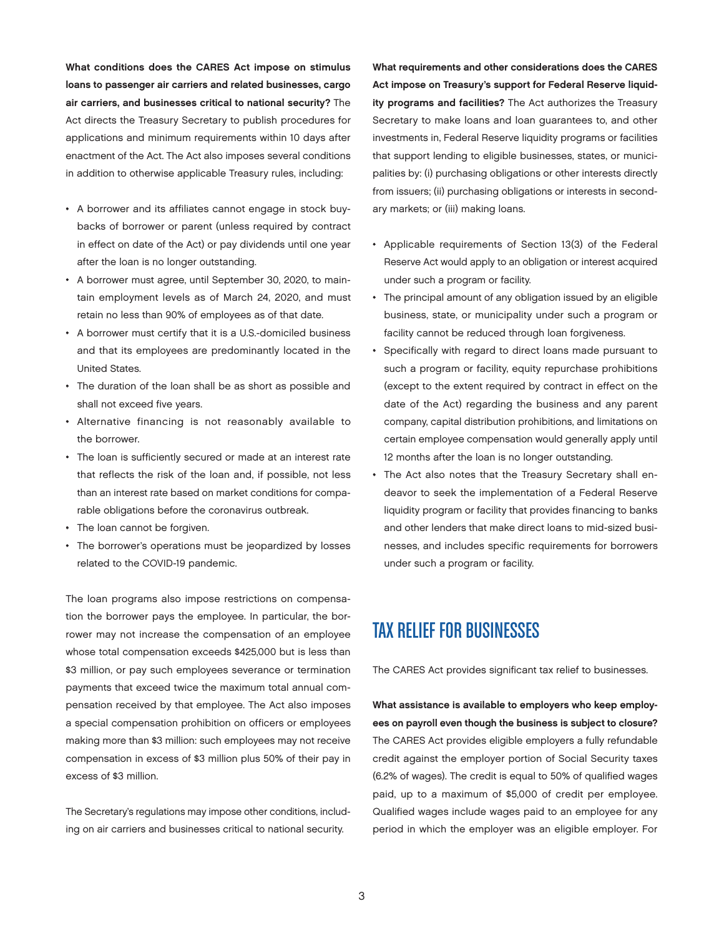What conditions does the CARES Act impose on stimulus loans to passenger air carriers and related businesses, cargo air carriers, and businesses critical to national security? The Act directs the Treasury Secretary to publish procedures for applications and minimum requirements within 10 days after enactment of the Act. The Act also imposes several conditions in addition to otherwise applicable Treasury rules, including:

- A borrower and its affiliates cannot engage in stock buybacks of borrower or parent (unless required by contract in effect on date of the Act) or pay dividends until one year after the loan is no longer outstanding.
- A borrower must agree, until September 30, 2020, to maintain employment levels as of March 24, 2020, and must retain no less than 90% of employees as of that date.
- A borrower must certify that it is a U.S.-domiciled business and that its employees are predominantly located in the United States.
- The duration of the loan shall be as short as possible and shall not exceed five years.
- Alternative financing is not reasonably available to the borrower.
- The loan is sufficiently secured or made at an interest rate that reflects the risk of the loan and, if possible, not less than an interest rate based on market conditions for comparable obligations before the coronavirus outbreak.
- The loan cannot be forgiven.
- The borrower's operations must be jeopardized by losses related to the COVID-19 pandemic.

The loan programs also impose restrictions on compensation the borrower pays the employee. In particular, the borrower may not increase the compensation of an employee whose total compensation exceeds \$425,000 but is less than \$3 million, or pay such employees severance or termination payments that exceed twice the maximum total annual compensation received by that employee. The Act also imposes a special compensation prohibition on officers or employees making more than \$3 million: such employees may not receive compensation in excess of \$3 million plus 50% of their pay in excess of \$3 million.

The Secretary's regulations may impose other conditions, including on air carriers and businesses critical to national security.

What requirements and other considerations does the CARES Act impose on Treasury's support for Federal Reserve liquidity programs and facilities? The Act authorizes the Treasury Secretary to make loans and loan guarantees to, and other investments in, Federal Reserve liquidity programs or facilities that support lending to eligible businesses, states, or municipalities by: (i) purchasing obligations or other interests directly from issuers; (ii) purchasing obligations or interests in secondary markets; or (iii) making loans.

- Applicable requirements of Section 13(3) of the Federal Reserve Act would apply to an obligation or interest acquired under such a program or facility.
- The principal amount of any obligation issued by an eligible business, state, or municipality under such a program or facility cannot be reduced through loan forgiveness.
- Specifically with regard to direct loans made pursuant to such a program or facility, equity repurchase prohibitions (except to the extent required by contract in effect on the date of the Act) regarding the business and any parent company, capital distribution prohibitions, and limitations on certain employee compensation would generally apply until 12 months after the loan is no longer outstanding.
- The Act also notes that the Treasury Secretary shall endeavor to seek the implementation of a Federal Reserve liquidity program or facility that provides financing to banks and other lenders that make direct loans to mid-sized businesses, and includes specific requirements for borrowers under such a program or facility.

## TAX RELIEF FOR BUSINESSES

The CARES Act provides significant tax relief to businesses.

What assistance is available to employers who keep employees on payroll even though the business is subject to closure? The CARES Act provides eligible employers a fully refundable credit against the employer portion of Social Security taxes (6.2% of wages). The credit is equal to 50% of qualified wages paid, up to a maximum of \$5,000 of credit per employee. Qualified wages include wages paid to an employee for any period in which the employer was an eligible employer. For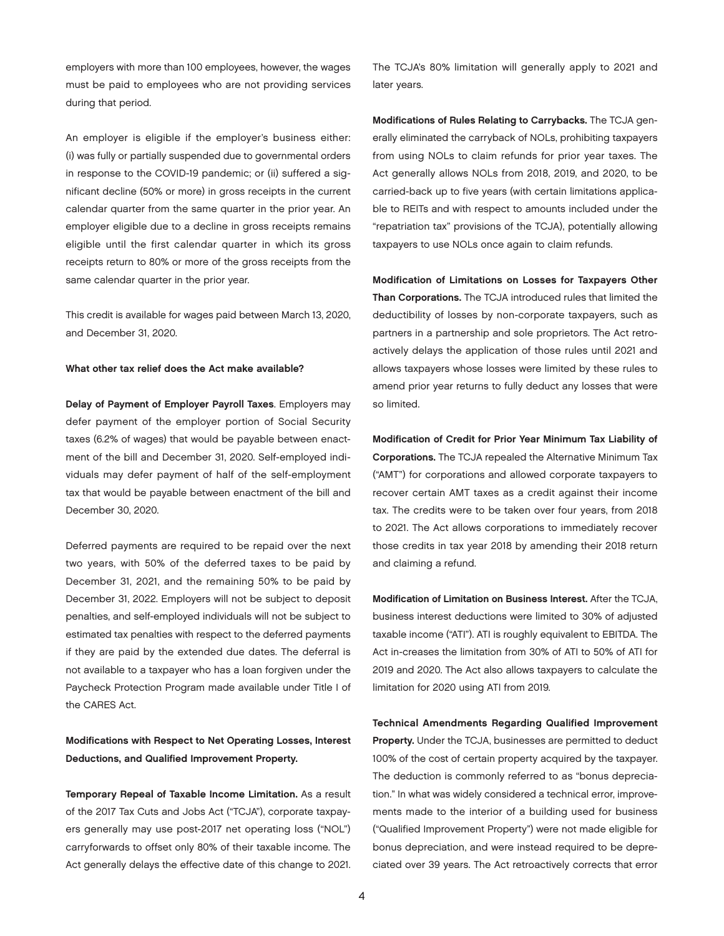employers with more than 100 employees, however, the wages must be paid to employees who are not providing services during that period.

An employer is eligible if the employer's business either: (i) was fully or partially suspended due to governmental orders in response to the COVID-19 pandemic; or (ii) suffered a significant decline (50% or more) in gross receipts in the current calendar quarter from the same quarter in the prior year. An employer eligible due to a decline in gross receipts remains eligible until the first calendar quarter in which its gross receipts return to 80% or more of the gross receipts from the same calendar quarter in the prior year.

This credit is available for wages paid between March 13, 2020, and December 31, 2020.

#### What other tax relief does the Act make available?

Delay of Payment of Employer Payroll Taxes. Employers may defer payment of the employer portion of Social Security taxes (6.2% of wages) that would be payable between enactment of the bill and December 31, 2020. Self-employed individuals may defer payment of half of the self-employment tax that would be payable between enactment of the bill and December 30, 2020.

Deferred payments are required to be repaid over the next two years, with 50% of the deferred taxes to be paid by December 31, 2021, and the remaining 50% to be paid by December 31, 2022. Employers will not be subject to deposit penalties, and self-employed individuals will not be subject to estimated tax penalties with respect to the deferred payments if they are paid by the extended due dates. The deferral is not available to a taxpayer who has a loan forgiven under the Paycheck Protection Program made available under Title I of the CARES Act.

#### Modifications with Respect to Net Operating Losses, Interest Deductions, and Qualified Improvement Property.

Temporary Repeal of Taxable Income Limitation. As a result of the 2017 Tax Cuts and Jobs Act ("TCJA"), corporate taxpayers generally may use post-2017 net operating loss ("NOL") carryforwards to offset only 80% of their taxable income. The Act generally delays the effective date of this change to 2021.

The TCJA's 80% limitation will generally apply to 2021 and later years.

Modifications of Rules Relating to Carrybacks. The TCJA generally eliminated the carryback of NOLs, prohibiting taxpayers from using NOLs to claim refunds for prior year taxes. The Act generally allows NOLs from 2018, 2019, and 2020, to be carried-back up to five years (with certain limitations applicable to REITs and with respect to amounts included under the "repatriation tax" provisions of the TCJA), potentially allowing taxpayers to use NOLs once again to claim refunds.

Modification of Limitations on Losses for Taxpayers Other Than Corporations. The TCJA introduced rules that limited the deductibility of losses by non-corporate taxpayers, such as partners in a partnership and sole proprietors. The Act retroactively delays the application of those rules until 2021 and allows taxpayers whose losses were limited by these rules to amend prior year returns to fully deduct any losses that were so limited.

Modification of Credit for Prior Year Minimum Tax Liability of Corporations. The TCJA repealed the Alternative Minimum Tax ("AMT") for corporations and allowed corporate taxpayers to recover certain AMT taxes as a credit against their income tax. The credits were to be taken over four years, from 2018 to 2021. The Act allows corporations to immediately recover those credits in tax year 2018 by amending their 2018 return and claiming a refund.

Modification of Limitation on Business Interest. After the TCJA, business interest deductions were limited to 30% of adjusted taxable income ("ATI"). ATI is roughly equivalent to EBITDA. The Act in-creases the limitation from 30% of ATI to 50% of ATI for 2019 and 2020. The Act also allows taxpayers to calculate the limitation for 2020 using ATI from 2019.

Technical Amendments Regarding Qualified Improvement Property. Under the TCJA, businesses are permitted to deduct 100% of the cost of certain property acquired by the taxpayer. The deduction is commonly referred to as "bonus depreciation." In what was widely considered a technical error, improvements made to the interior of a building used for business ("Qualified Improvement Property") were not made eligible for bonus depreciation, and were instead required to be depreciated over 39 years. The Act retroactively corrects that error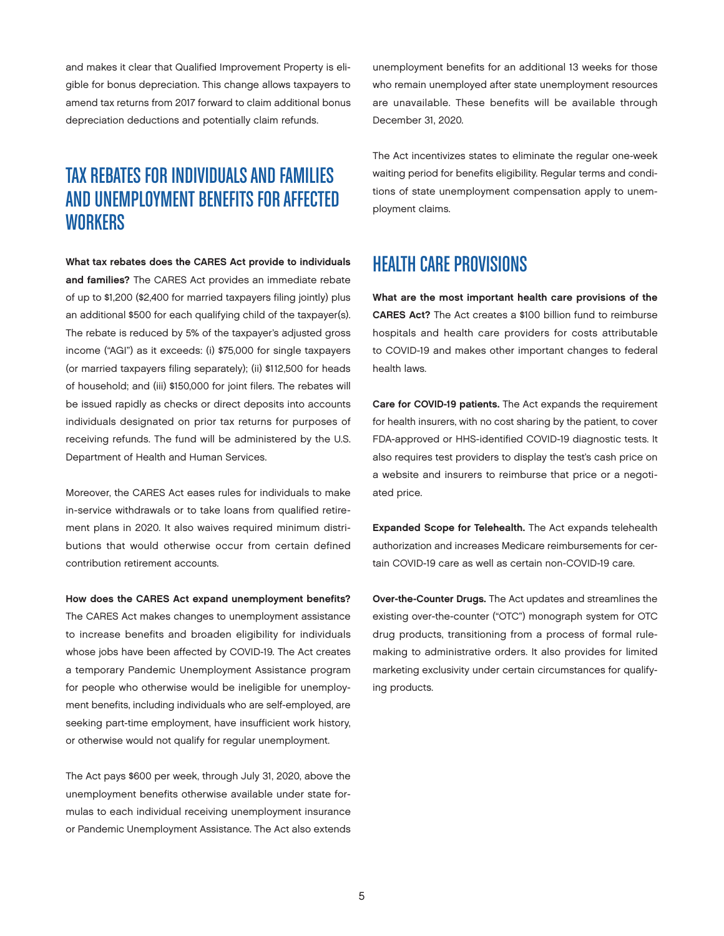and makes it clear that Qualified Improvement Property is eligible for bonus depreciation. This change allows taxpayers to amend tax returns from 2017 forward to claim additional bonus depreciation deductions and potentially claim refunds.

### TAX REBATES FOR INDIVIDUALS AND FAMILIES AND UNEMPLOYMENT BENEFITS FOR AFFECTED **WORKERS**

What tax rebates does the CARES Act provide to individuals and families? The CARES Act provides an immediate rebate of up to \$1,200 (\$2,400 for married taxpayers filing jointly) plus an additional \$500 for each qualifying child of the taxpayer(s). The rebate is reduced by 5% of the taxpayer's adjusted gross income ("AGI") as it exceeds: (i) \$75,000 for single taxpayers (or married taxpayers filing separately); (ii) \$112,500 for heads of household; and (iii) \$150,000 for joint filers. The rebates will be issued rapidly as checks or direct deposits into accounts individuals designated on prior tax returns for purposes of receiving refunds. The fund will be administered by the U.S. Department of Health and Human Services.

Moreover, the CARES Act eases rules for individuals to make in-service withdrawals or to take loans from qualified retirement plans in 2020. It also waives required minimum distributions that would otherwise occur from certain defined contribution retirement accounts.

How does the CARES Act expand unemployment benefits?

The CARES Act makes changes to unemployment assistance to increase benefits and broaden eligibility for individuals whose jobs have been affected by COVID-19. The Act creates a temporary Pandemic Unemployment Assistance program for people who otherwise would be ineligible for unemployment benefits, including individuals who are self-employed, are seeking part-time employment, have insufficient work history, or otherwise would not qualify for regular unemployment.

The Act pays \$600 per week, through July 31, 2020, above the unemployment benefits otherwise available under state formulas to each individual receiving unemployment insurance or Pandemic Unemployment Assistance. The Act also extends unemployment benefits for an additional 13 weeks for those who remain unemployed after state unemployment resources are unavailable. These benefits will be available through December 31, 2020.

The Act incentivizes states to eliminate the regular one-week waiting period for benefits eligibility. Regular terms and conditions of state unemployment compensation apply to unemployment claims.

### HEALTH CARE PROVISIONS

What are the most important health care provisions of the CARES Act? The Act creates a \$100 billion fund to reimburse hospitals and health care providers for costs attributable to COVID-19 and makes other important changes to federal health laws.

Care for COVID-19 patients. The Act expands the requirement for health insurers, with no cost sharing by the patient, to cover FDA-approved or HHS-identified COVID-19 diagnostic tests. It also requires test providers to display the test's cash price on a website and insurers to reimburse that price or a negotiated price.

Expanded Scope for Telehealth. The Act expands telehealth authorization and increases Medicare reimbursements for certain COVID-19 care as well as certain non-COVID-19 care.

Over-the-Counter Drugs. The Act updates and streamlines the existing over-the-counter ("OTC") monograph system for OTC drug products, transitioning from a process of formal rulemaking to administrative orders. It also provides for limited marketing exclusivity under certain circumstances for qualifying products.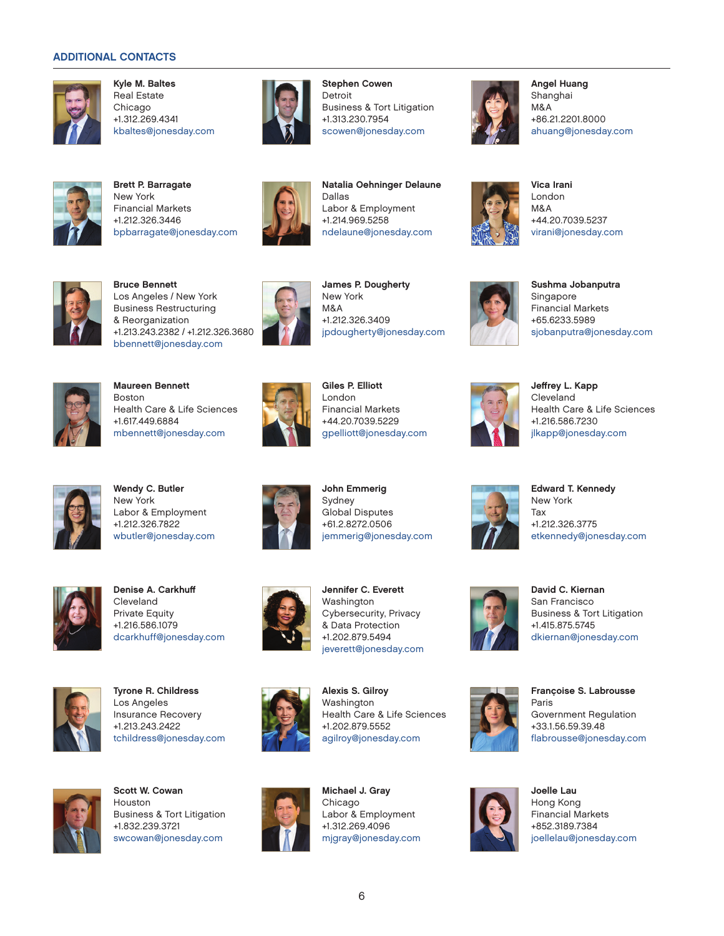#### ADDITIONAL CONTACTS



Kyle M. Baltes Real Estate Chicago +1.312.269.4341 kbaltes@jonesday.com



Brett P. Barragate New York Financial Markets +1.212.326.3446 bpbarragate@jonesday.com



Stephen Cowen Detroit Business & Tort Litigation +1.313.230.7954 scowen@jonesday.com

Natalia Oehninger Delaune

ndelaune@jonesday.com

Labor & Employment +1.214.969.5258

Dallas



Angel Huang Shanghai M&A +86.21.2201.8000 ahuang@jonesday.com



Vica Irani London M&A +44.20.7039.5237 virani@jonesday.com



Bruce Bennett Los Angeles / New York Business Restructuring & Reorganization +1.213.243.2382 / +1.212.326.3680 bbennett@jonesday.com



James P. Dougherty New York M&A +1.212.326.3409 jpdougherty@jonesday.com



Sushma Jobanputra Singapore Financial Markets +65.6233.5989 sjobanputra@jonesday.com



Maureen Bennett Boston Health Care & Life Sciences +1.617.449.6884 mbennett@jonesday.com



Giles P. Elliott London Financial Markets +44.20.7039.5229 gpelliott@jonesday.com



Jeffrey L. Kapp Cleveland Health Care & Life Sciences +1.216.586.7230 jlkapp@jonesday.com

Edward T. Kennedy New York Tax

+1.212.326.3775



Wendy C. Butler New York Labor & Employment +1.212.326.7822 wbutler@jonesday.com



John Emmerig Sydney Global Disputes +61.2.8272.0506 jemmerig@jonesday.com



Denise A. Carkhuff Cleveland Private Equity +1.216.586.1079 dcarkhuff@jonesday.com



Tyrone R. Childress Los Angeles Insurance Recovery +1.213.243.2422 tchildress@jonesday.com



Jennifer C. Everett Washington Cybersecurity, Privacy & Data Protection +1.202.879.5494 jeverett@jonesday.com



Alexis S. Gilroy Washington Health Care & Life Sciences +1.202.879.5552 agilroy@jonesday.com



Scott W. Cowan Houston Business & Tort Litigation +1.832.239.3721 swcowan@jonesday.com



Michael J. Gray Chicago Labor & Employment +1.312.269.4096 mjgray@jonesday.com



David C. Kiernan San Francisco Business & Tort Litigation +1.415.875.5745 dkiernan@jonesday.com

etkennedy@jonesday.com



Françoise S. Labrousse Paris Government Regulation +33.1.56.59.39.48 flabrousse@jonesday.com



Joelle Lau Hong Kong Financial Markets +852.3189.7384 joellelau@jonesday.com